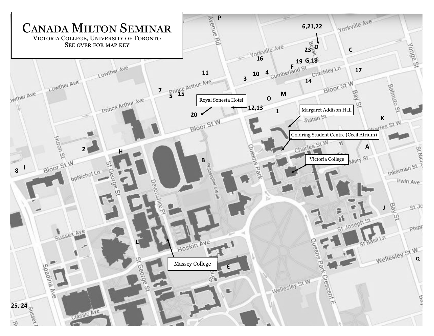